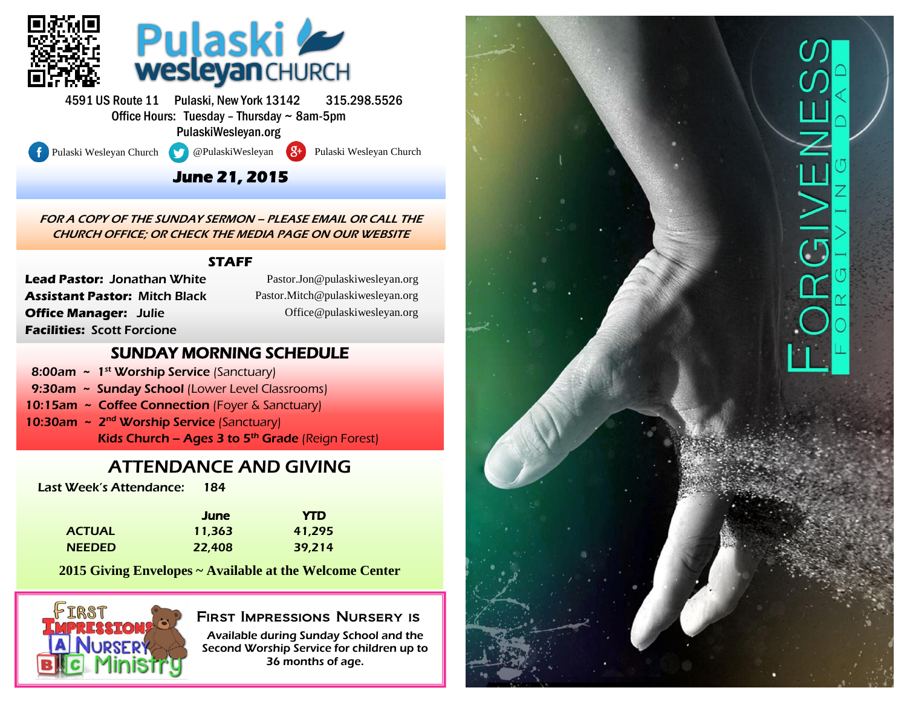

4591 US Route 11 Pulaski, New York 13142 315.298.5526 Office Hours: Tuesday – Thursday ~ 8am-5pm PulaskiWesleyan.org

l

Pulaski Wesleyan Church **@PulaskiWesleyan 8+** Pulaski Wesleyan Church

### **June 21, 2015**

FOR A COPY OF THE SUNDAY SERMON – PLEASE EMAIL OR CALL THE CHURCH OFFICE; OR CHECK THE MEDIA PAGE ON OUR WEBSITE

#### **STAFF**

**Lead Pastor:** Jonathan White **Assistant Pastor:** Mitch Black **Office Manager:** Julie **Facilities:** Scott Forcione

(Pastor.Jon@pulaskiwesleyan.org) Pastor.Jon@pulaskiwesleyan.org (Pastor.Mitch@pulaskiwesleyan.org) Pastor.Mitch@pulaskiwesleyan.org (Office@pulaskiwesleyan.org) Office@pulaskiwesleyan.org

#### SUNDAY MORNING SCHEDULE

- 8:00am  $\sim 1^{st}$  Worship Service (Sanctuary)
- 9:30am ~ Sunday School (Lower Level Classrooms)
- 10:15am ~ Coffee Connection (Foyer & Sanctuary)
- 10:30am ~ 2<sup>nd</sup> Worship Service (Sanctuary) Kids Church – Ages 3 to  $5<sup>th</sup>$  Grade (Reign Forest)

## ATTENDANCE AND GIVING

Last Week's Attendance: 184

|               | June   | <b>YTD</b> |
|---------------|--------|------------|
| <b>ACTUAL</b> | 11.363 | 41,295     |
| <b>NEEDED</b> | 22,408 | 39,214     |

**2015 Giving Envelopes ~ Available at the Welcome Center**



#### First Impressions Nursery is

Available during Sunday School and the Second Worship Service for children up to 36 months of age.